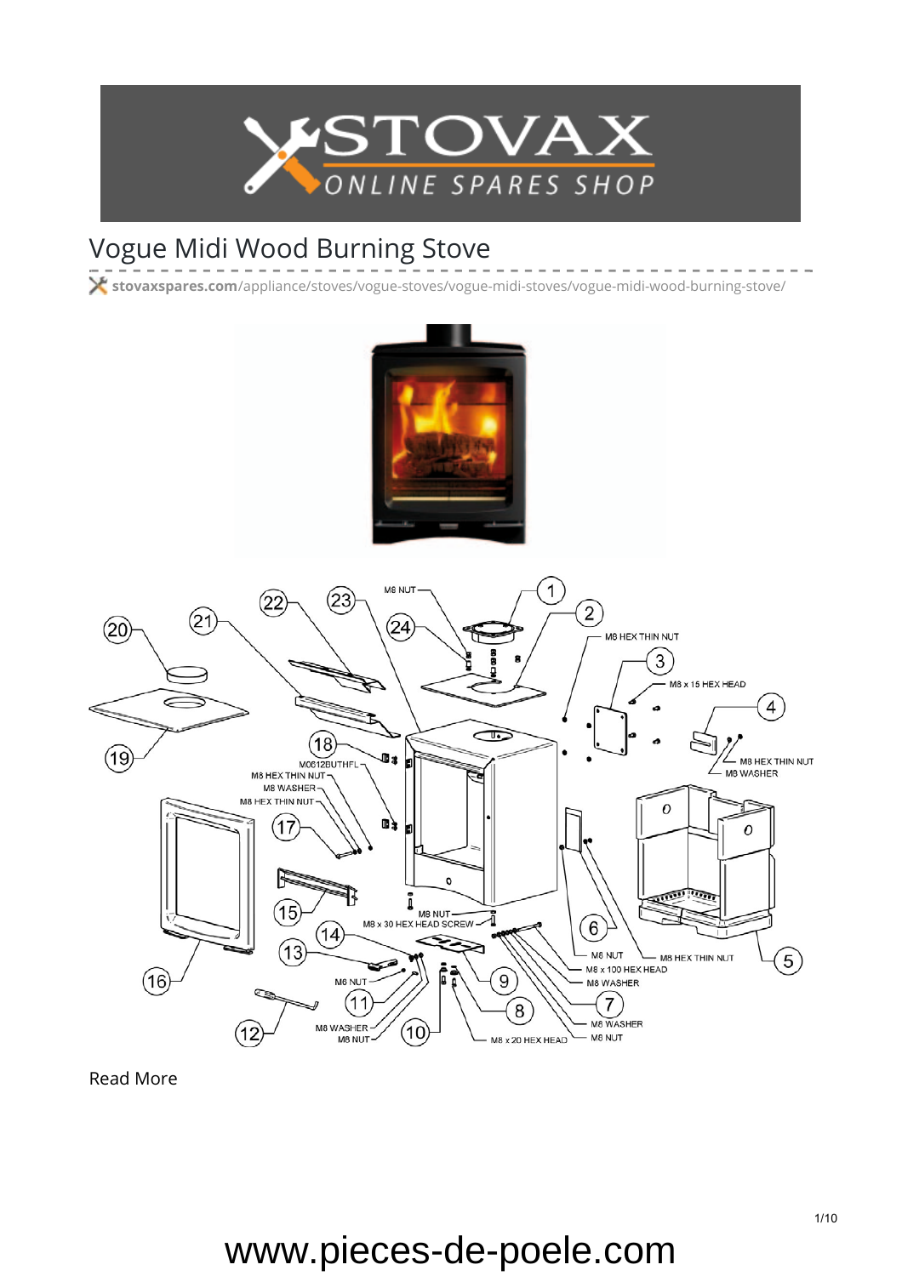

## Vogue Midi Wood Burning Stove

**stovaxspares.com**[/appliance/stoves/vogue-stoves/vogue-midi-stoves/vogue-midi-wood-burning-stove/](https://www.stovaxspares.com/appliance/stoves/vogue-stoves/vogue-midi-stoves/vogue-midi-wood-burning-stove/)





[Read More](https://www.stovaxspares.com/product/na-carcass-2/)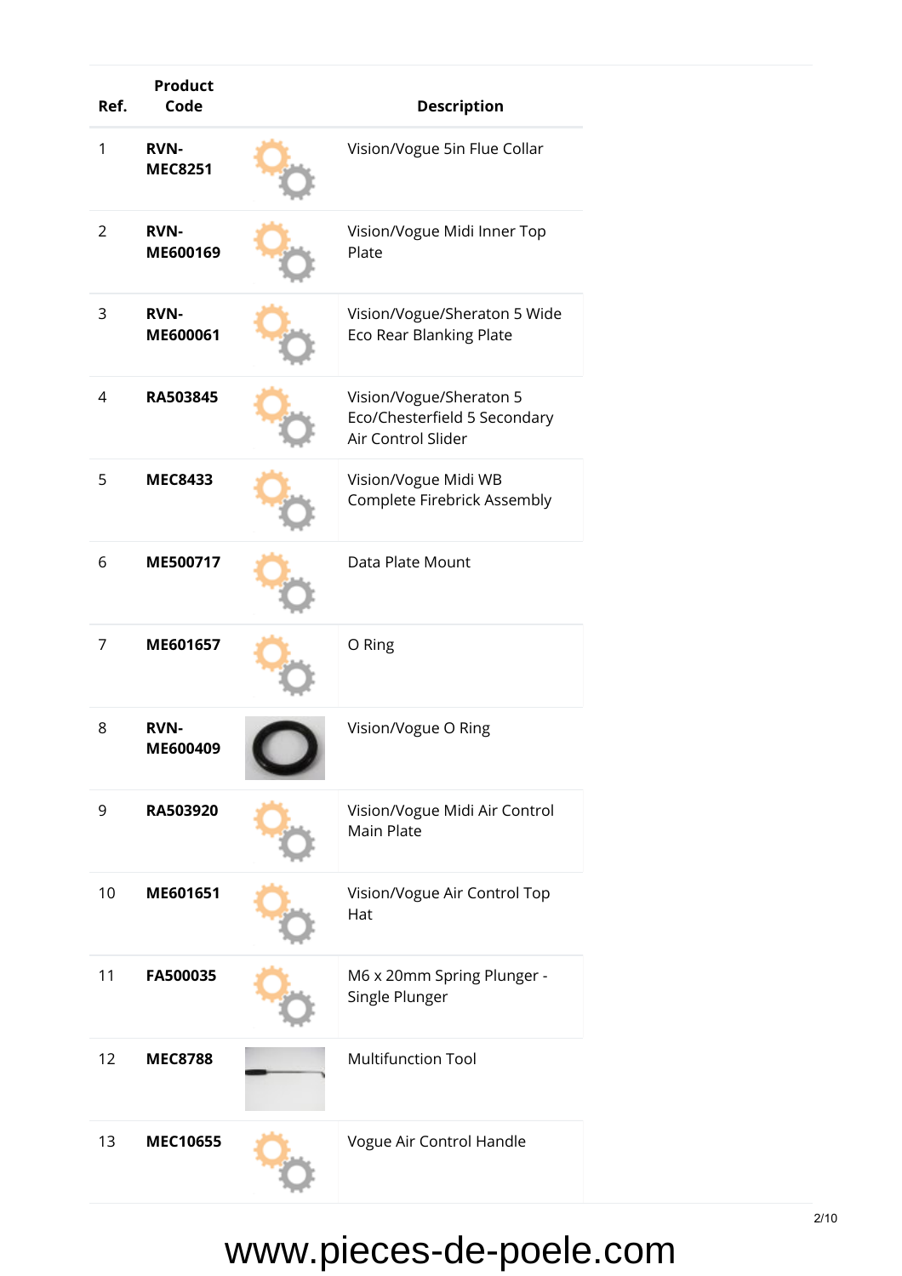| Ref. | <b>Product</b><br>Code        | <b>Description</b>                                                            |
|------|-------------------------------|-------------------------------------------------------------------------------|
| 1    | <b>RVN-</b><br><b>MEC8251</b> | Vision/Vogue 5in Flue Collar                                                  |
| 2    | <b>RVN-</b><br>ME600169       | Vision/Vogue Midi Inner Top<br>Plate                                          |
| 3    | <b>RVN-</b><br>ME600061       | Vision/Vogue/Sheraton 5 Wide<br>Eco Rear Blanking Plate                       |
| 4    | RA503845                      | Vision/Vogue/Sheraton 5<br>Eco/Chesterfield 5 Secondary<br>Air Control Slider |
| 5    | <b>MEC8433</b>                | Vision/Vogue Midi WB<br>Complete Firebrick Assembly                           |
| 6    | ME500717                      | Data Plate Mount                                                              |
| 7    | ME601657                      | O Ring                                                                        |
| 8    | <b>RVN-</b><br>ME600409       | Vision/Vogue O Ring                                                           |
| 9    | RA503920                      | Vision/Vogue Midi Air Control<br>Main Plate                                   |
| 10   | ME601651                      | Vision/Vogue Air Control Top<br>Hat                                           |
| 11   | FA500035                      | M6 x 20mm Spring Plunger -<br>Single Plunger                                  |
| 12   | <b>MEC8788</b>                | <b>Multifunction Tool</b>                                                     |
| 13   | <b>MEC10655</b>               | Vogue Air Control Handle                                                      |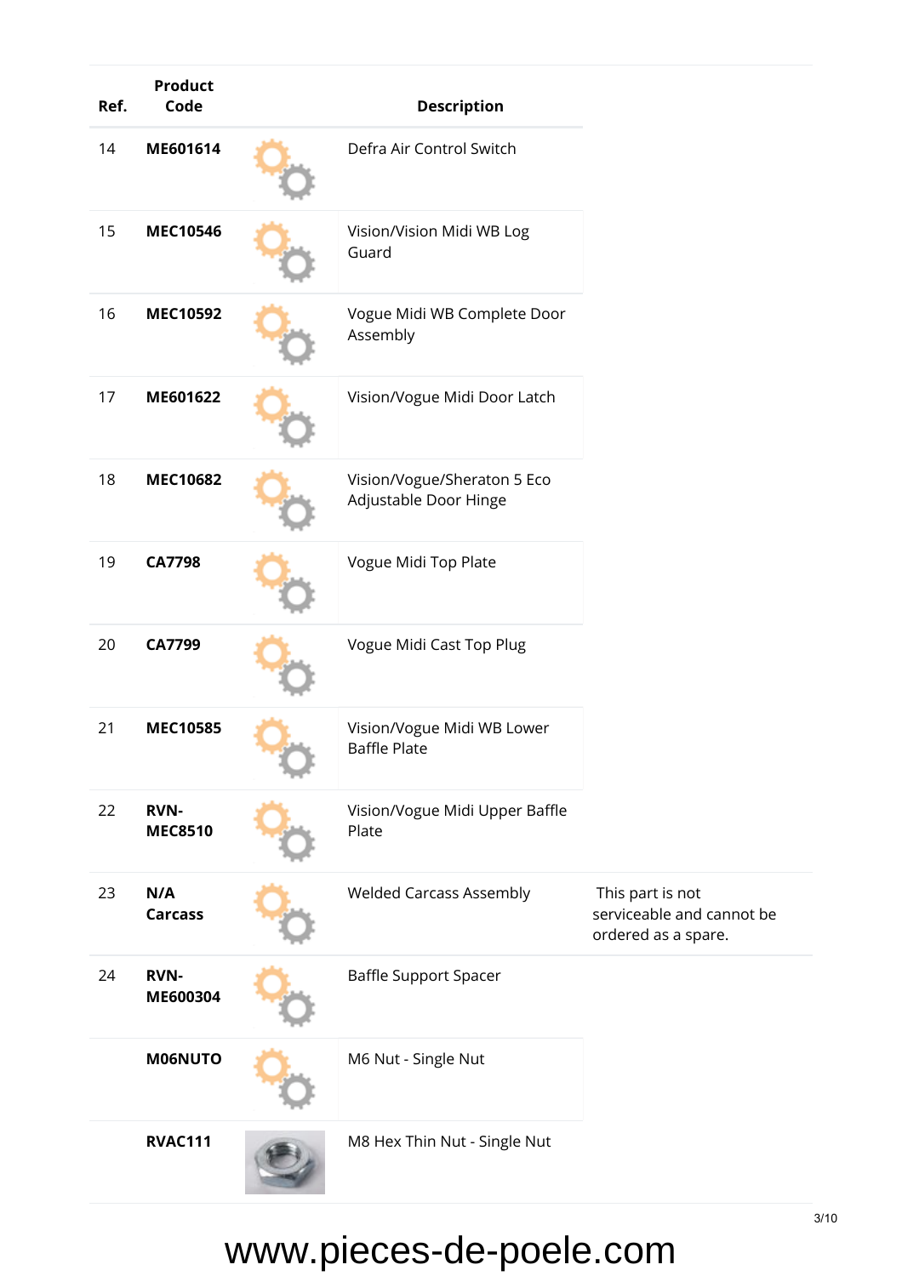| Ref. | <b>Product</b><br>Code        |                      | <b>Description</b>                                   |                                                                      |
|------|-------------------------------|----------------------|------------------------------------------------------|----------------------------------------------------------------------|
| 14   | ME601614                      |                      | Defra Air Control Switch                             |                                                                      |
| 15   | <b>MEC10546</b>               |                      | Vision/Vision Midi WB Log<br>Guard                   |                                                                      |
| 16   | <b>MEC10592</b>               |                      | Vogue Midi WB Complete Door<br>Assembly              |                                                                      |
| 17   | ME601622                      |                      | Vision/Vogue Midi Door Latch                         |                                                                      |
| 18   | <b>MEC10682</b>               |                      | Vision/Vogue/Sheraton 5 Eco<br>Adjustable Door Hinge |                                                                      |
| 19   | <b>CA7798</b>                 | Vogue Midi Top Plate |                                                      |                                                                      |
| 20   | CA7799                        |                      | Vogue Midi Cast Top Plug                             |                                                                      |
| 21   | <b>MEC10585</b>               |                      | Vision/Vogue Midi WB Lower<br>Baffle Plate           |                                                                      |
| 22   | <b>RVN-</b><br><b>MEC8510</b> |                      | Vision/Vogue Midi Upper Baffle<br>Plate              |                                                                      |
| 23   | N/A<br><b>Carcass</b>         |                      | <b>Welded Carcass Assembly</b>                       | This part is not<br>serviceable and cannot be<br>ordered as a spare. |
| 24   | <b>RVN-</b><br>ME600304       |                      | <b>Baffle Support Spacer</b>                         |                                                                      |
|      | M06NUTO                       |                      | M6 Nut - Single Nut                                  |                                                                      |
|      | <b>RVAC111</b>                |                      | M8 Hex Thin Nut - Single Nut                         |                                                                      |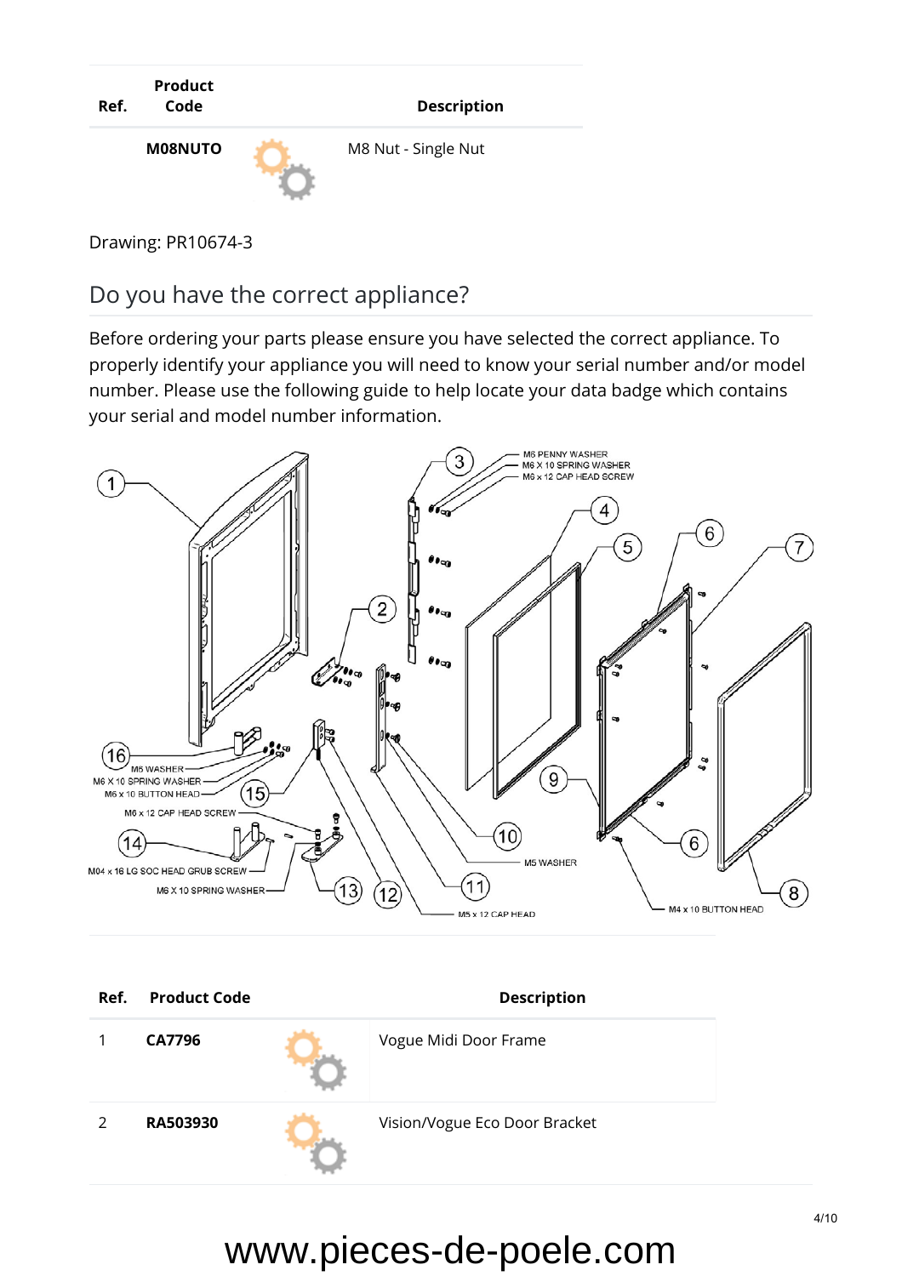

Drawing: PR10674-3

Do you have the correct appliance?

Before ordering your parts please ensure you have selected the correct appliance. To properly identify your appliance you will need to know your serial number and/or model number. Please use the [following guide](https://www.stovaxspares.com/find-your-databadge/) to help locate your data badge which contains your serial and model number information.



| Ref.          | <b>Product Code</b> | <b>Description</b>            |
|---------------|---------------------|-------------------------------|
|               | CA7796              | Vogue Midi Door Frame         |
| $\mathcal{P}$ | RA503930            | Vision/Vogue Eco Door Bracket |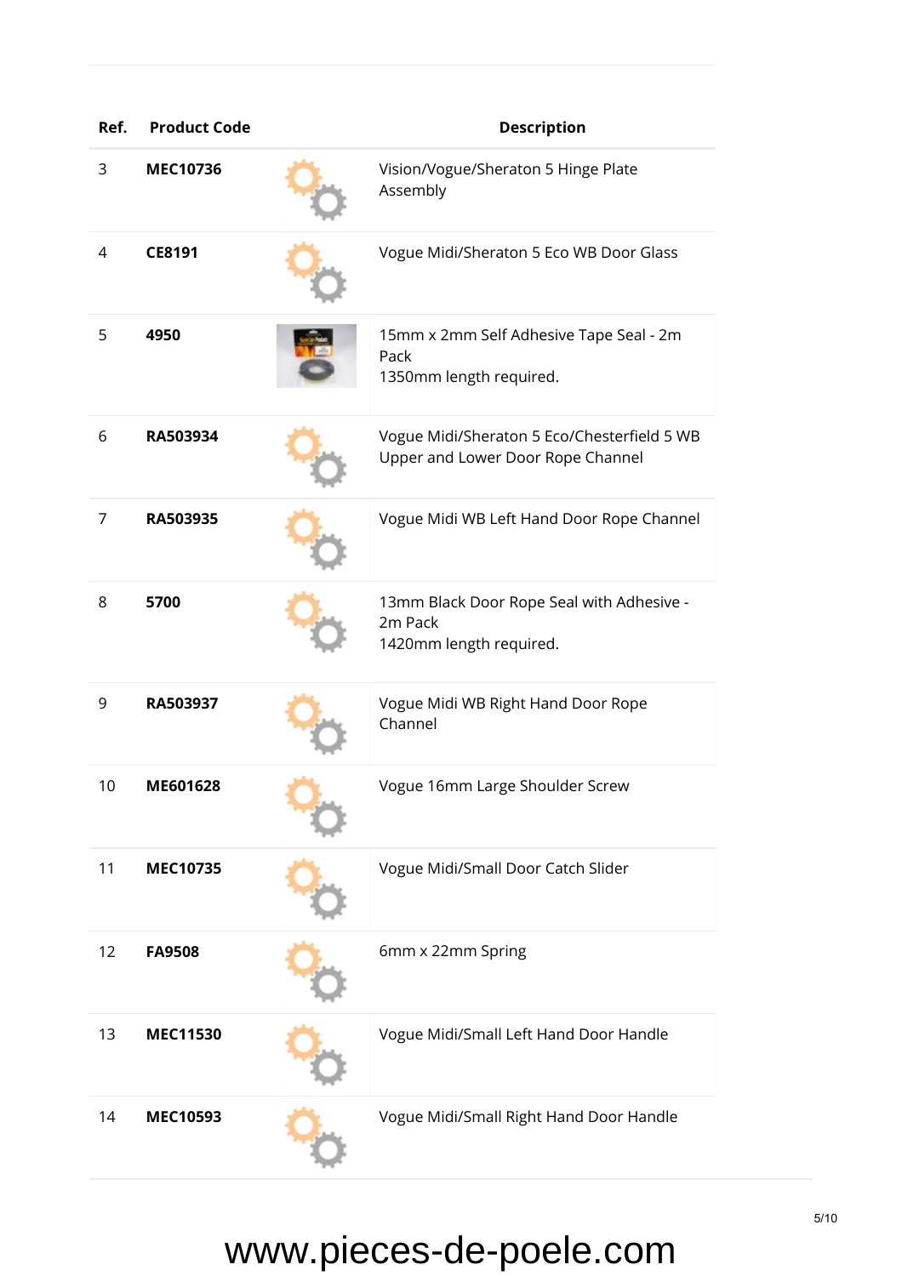| Ref. | <b>Product Code</b> | <b>Description</b>                                                               |
|------|---------------------|----------------------------------------------------------------------------------|
| 3    | <b>MEC10736</b>     | Vision/Vogue/Sheraton 5 Hinge Plate<br>Assembly                                  |
| 4    | CE8191              | Vogue Midi/Sheraton 5 Eco WB Door Glass                                          |
| 5    | 4950                | 15mm x 2mm Self Adhesive Tape Seal - 2m<br>Pack<br>1350mm length required.       |
| 6    | RA503934            | Vogue Midi/Sheraton 5 Eco/Chesterfield 5 WB<br>Upper and Lower Door Rope Channel |
| 7    | RA503935            | Vogue Midi WB Left Hand Door Rope Channel                                        |
| 8    | 5700                | 13mm Black Door Rope Seal with Adhesive -<br>2m Pack<br>1420mm length required.  |
| 9    | RA503937            | Vogue Midi WB Right Hand Door Rope<br>Channel                                    |
| 10   | ME601628            | Vogue 16mm Large Shoulder Screw                                                  |
| 11   | <b>MEC10735</b>     | Vogue Midi/Small Door Catch Slider                                               |
| 12   | <b>FA9508</b>       | 6mm x 22mm Spring                                                                |
| 13   | <b>MEC11530</b>     | Vogue Midi/Small Left Hand Door Handle                                           |
| 14   | <b>MEC10593</b>     | Vogue Midi/Small Right Hand Door Handle                                          |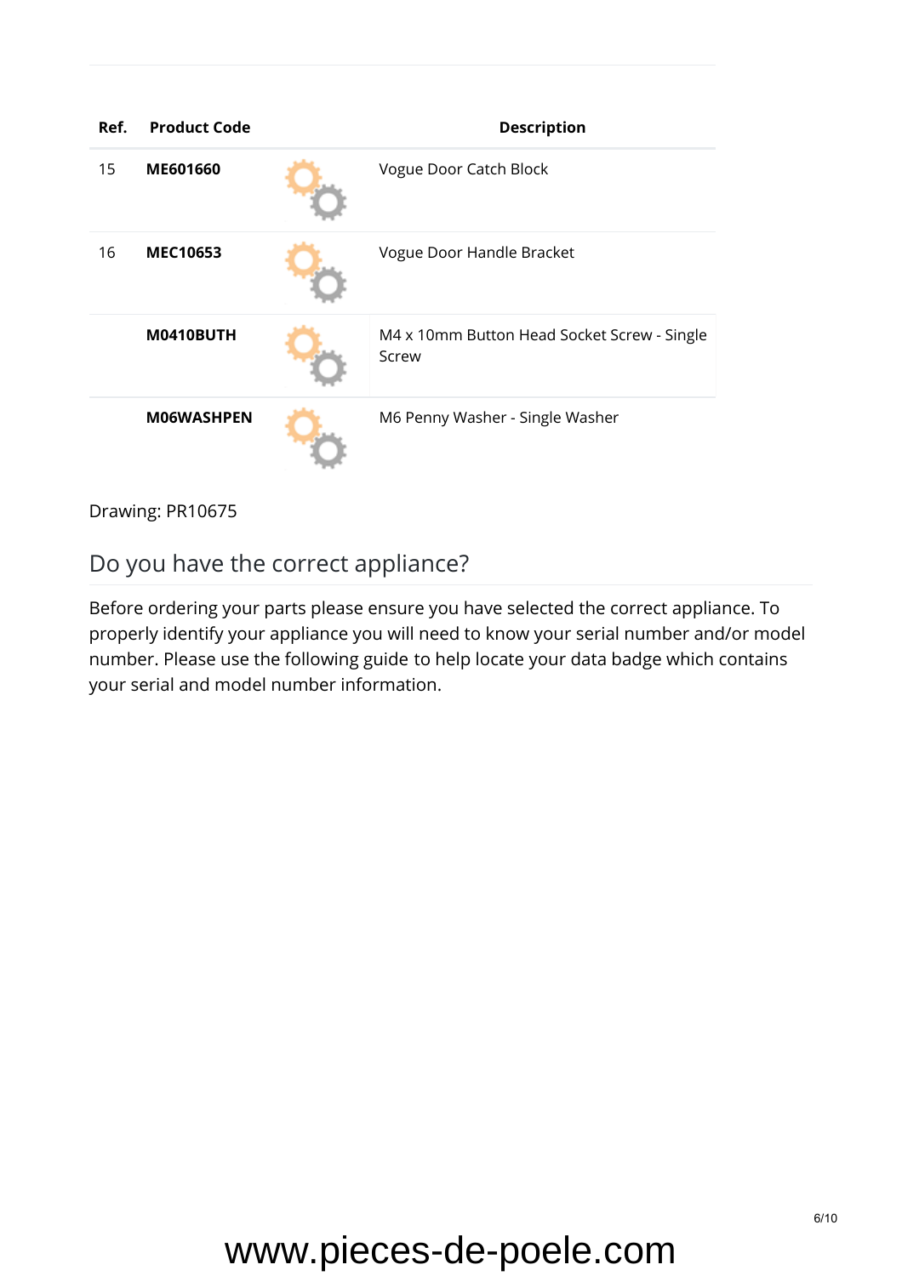| Ref. | <b>Product Code</b> | <b>Description</b>                                   |
|------|---------------------|------------------------------------------------------|
| 15   | ME601660            | Vogue Door Catch Block                               |
| 16   | <b>MEC10653</b>     | Vogue Door Handle Bracket                            |
|      | M0410BUTH           | M4 x 10mm Button Head Socket Screw - Single<br>Screw |
|      | <b>MO6WASHPEN</b>   | M6 Penny Washer - Single Washer                      |

Drawing: PR10675

### Do you have the correct appliance?

Before ordering your parts please ensure you have selected the correct appliance. To properly identify your appliance you will need to know your serial number and/or model number. Please use the [following guide](https://www.stovaxspares.com/find-your-databadge/) to help locate your data badge which contains your serial and model number information.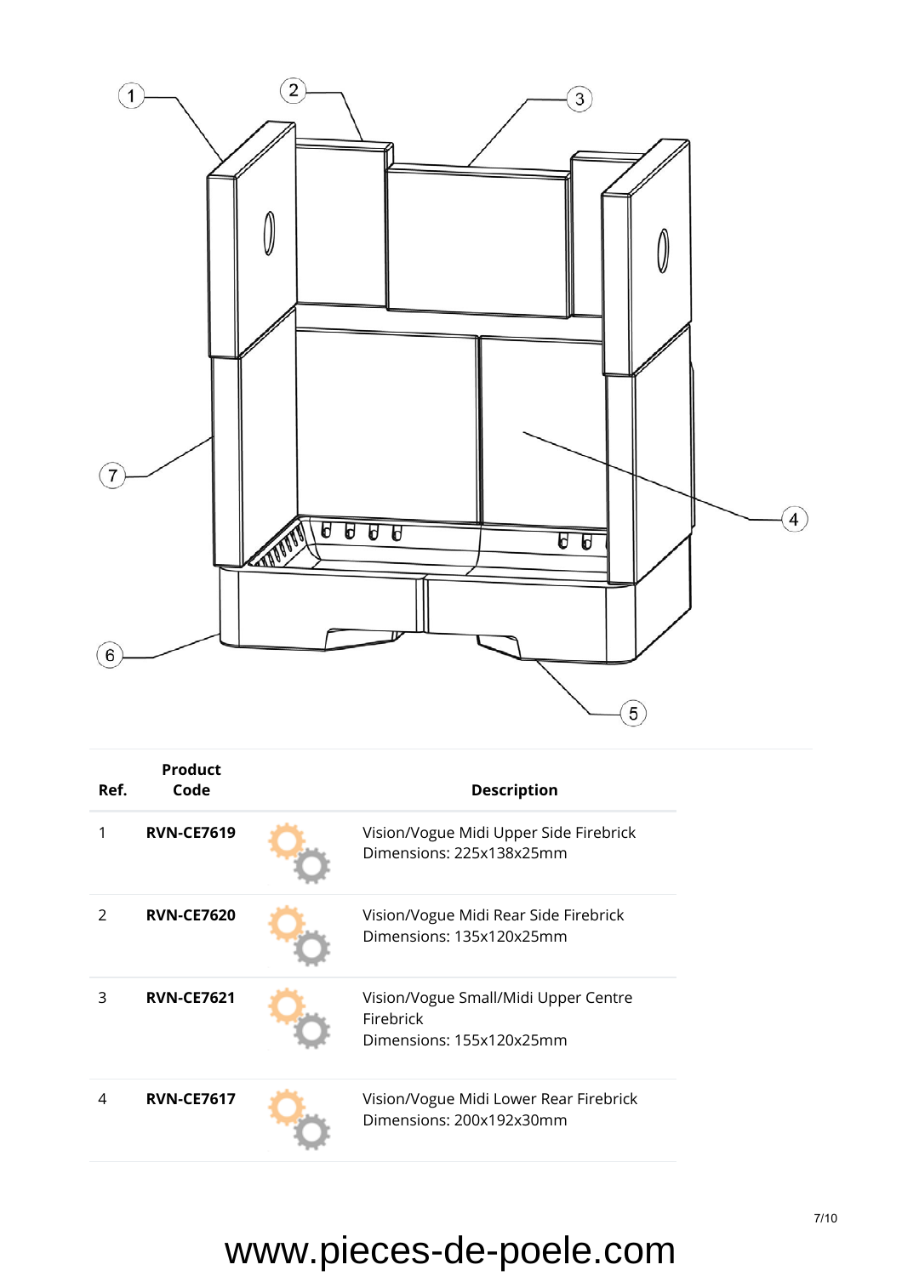

| Ref.          | Product<br>Code   | <b>Description</b>                                                            |
|---------------|-------------------|-------------------------------------------------------------------------------|
| 1             | <b>RVN-CE7619</b> | Vision/Vogue Midi Upper Side Firebrick<br>Dimensions: 225x138x25mm            |
| $\mathcal{P}$ | <b>RVN-CE7620</b> | Vision/Vogue Midi Rear Side Firebrick<br>Dimensions: 135x120x25mm             |
| 3             | <b>RVN-CE7621</b> | Vision/Vogue Small/Midi Upper Centre<br>Firebrick<br>Dimensions: 155x120x25mm |
| 4             | <b>RVN-CE7617</b> | Vision/Vogue Midi Lower Rear Firebrick<br>Dimensions: 200x192x30mm            |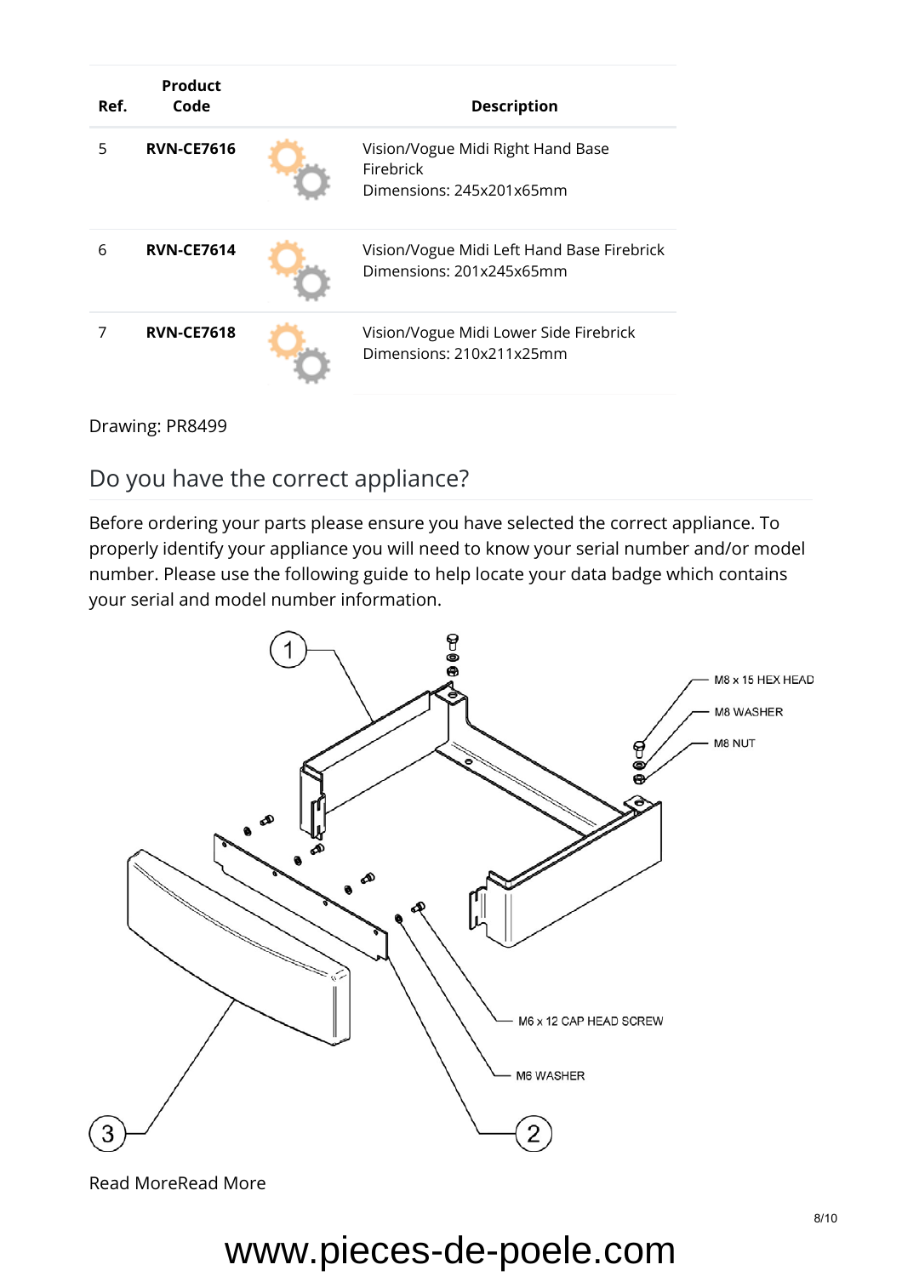| Ref. | <b>Product</b><br>Code | <b>Description</b>                                                         |
|------|------------------------|----------------------------------------------------------------------------|
| 5    | <b>RVN-CE7616</b>      | Vision/Vogue Midi Right Hand Base<br>Firebrick<br>Dimensions: 245x201x65mm |
| 6    | <b>RVN-CE7614</b>      | Vision/Vogue Midi Left Hand Base Firebrick<br>Dimensions: 201x245x65mm     |
|      | <b>RVN-CE7618</b>      | Vision/Vogue Midi Lower Side Firebrick<br>Dimensions: 210x211x25mm         |

#### Drawing: PR8499

#### Do you have the correct appliance?

Before ordering your parts please ensure you have selected the correct appliance. To properly identify your appliance you will need to know your serial number and/or model number. Please use the [following guide](https://www.stovaxspares.com/find-your-databadge/) to help locate your data badge which contains your serial and model number information.



[Read MoreRead More](https://www.stovaxspares.com/product/na/)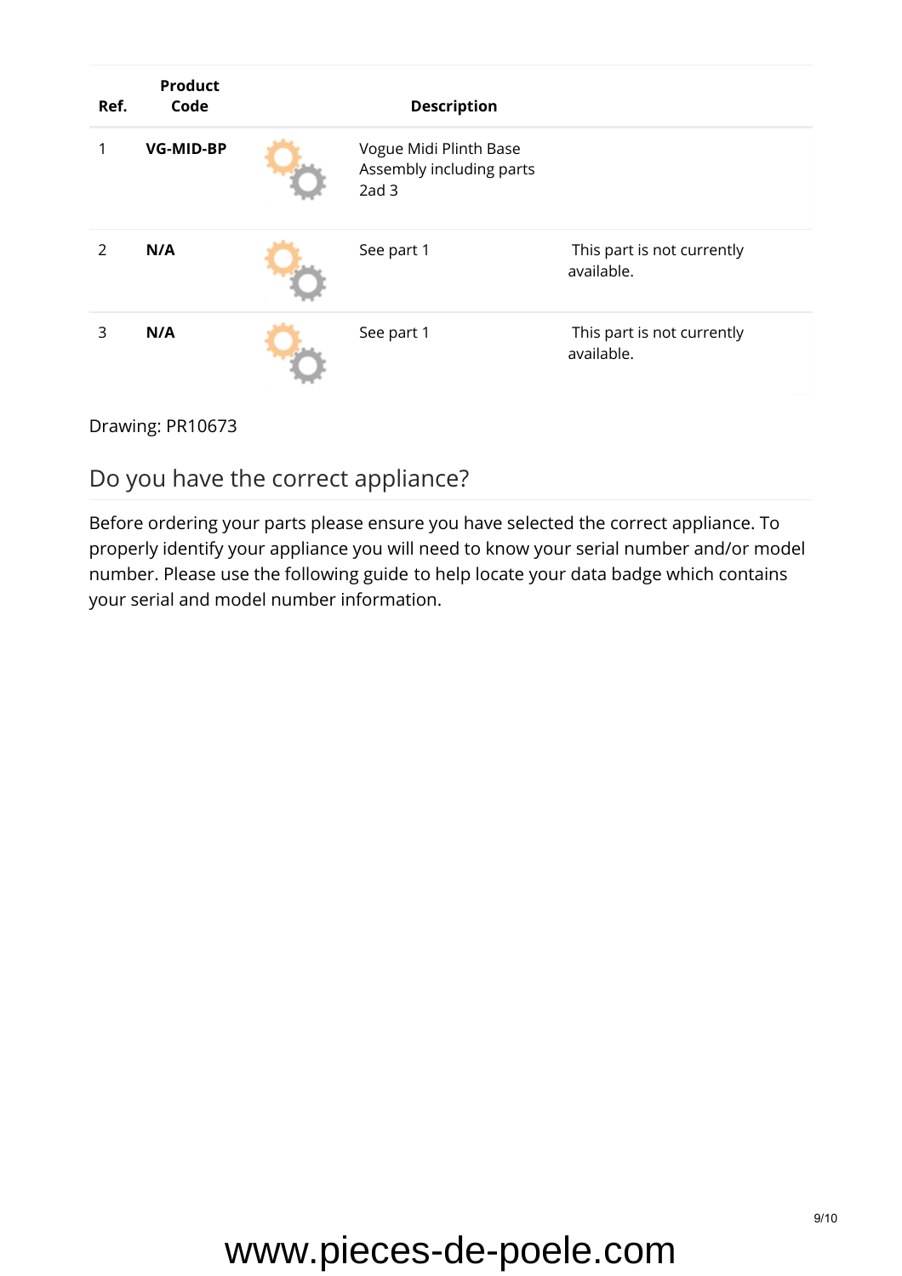| Ref. | <b>Product</b><br>Code | <b>Description</b>                                                     |                                          |
|------|------------------------|------------------------------------------------------------------------|------------------------------------------|
|      | <b>VG-MID-BP</b>       | Vogue Midi Plinth Base<br>Assembly including parts<br>2ad <sub>3</sub> |                                          |
| 2    | N/A                    | See part 1                                                             | This part is not currently<br>available. |
| 3    | N/A                    | See part 1                                                             | This part is not currently<br>available. |

#### Drawing: PR10673

### Do you have the correct appliance?

Before ordering your parts please ensure you have selected the correct appliance. To properly identify your appliance you will need to know your serial number and/or model number. Please use the [following guide](https://www.stovaxspares.com/find-your-databadge/) to help locate your data badge which contains your serial and model number information.